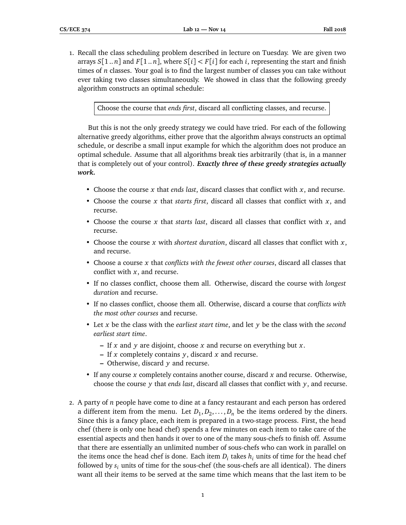1. Recall the class scheduling problem described in lecture on Tuesday. We are given two arrays  $S[1..n]$  and  $F[1..n]$ , where  $S[i] < F[i]$  for each *i*, representing the start and finish times of *n* classes. Your goal is to find the largest number of classes you can take without ever taking two classes simultaneously. We showed in class that the following greedy algorithm constructs an optimal schedule:

Choose the course that *ends first*, discard all conflicting classes, and recurse.

But this is not the only greedy strategy we could have tried. For each of the following alternative greedy algorithms, either prove that the algorithm always constructs an optimal schedule, or describe a small input example for which the algorithm does not produce an optimal schedule. Assume that all algorithms break ties arbitrarily (that is, in a manner that is completely out of your control). *Exactly three of these greedy strategies actually work.*

- Choose the course *x* that *ends last*, discard classes that conflict with *x*, and recurse.
- Choose the course *x* that *starts first*, discard all classes that conflict with *x*, and recurse.
- Choose the course *x* that *starts last*, discard all classes that conflict with *x*, and recurse.
- Choose the course *x* with *shortest duration*, discard all classes that conflict with *x*, and recurse.
- Choose a course *x* that *conflicts with the fewest other courses*, discard all classes that conflict with *x*, and recurse.
- If no classes conflict, choose them all. Otherwise, discard the course with *longest duration* and recurse.
- If no classes conflict, choose them all. Otherwise, discard a course that *conflicts with the most other courses* and recurse.
- Let *x* be the class with the *earliest start time*, and let *y* be the class with the *second earliest start time*.
	- **–** If *x* and *y* are disjoint, choose *x* and recurse on everything but *x*.
	- **–** If *x* completely contains *y*, discard *x* and recurse.
	- **–** Otherwise, discard *y* and recurse.
- If any course *x* completely contains another course, discard *x* and recurse. Otherwise, choose the course *y* that *ends last*, discard all classes that conflict with *y*, and recurse.
- 2. A party of *n* people have come to dine at a fancy restaurant and each person has ordered a different item from the menu. Let  $D_1, D_2, \ldots, D_n$  be the items ordered by the diners. Since this is a fancy place, each item is prepared in a two-stage process. First, the head chef (there is only one head chef) spends a few minutes on each item to take care of the essential aspects and then hands it over to one of the many sous-chefs to finish off. Assume that there are essentially an unlimited number of sous-chefs who can work in parallel on the items once the head chef is done. Each item  $D_i$  takes  $h_i$  units of time for the head chef followed by *s<sup>i</sup>* units of time for the sous-chef (the sous-chefs are all identical). The diners want all their items to be served at the same time which means that the last item to be